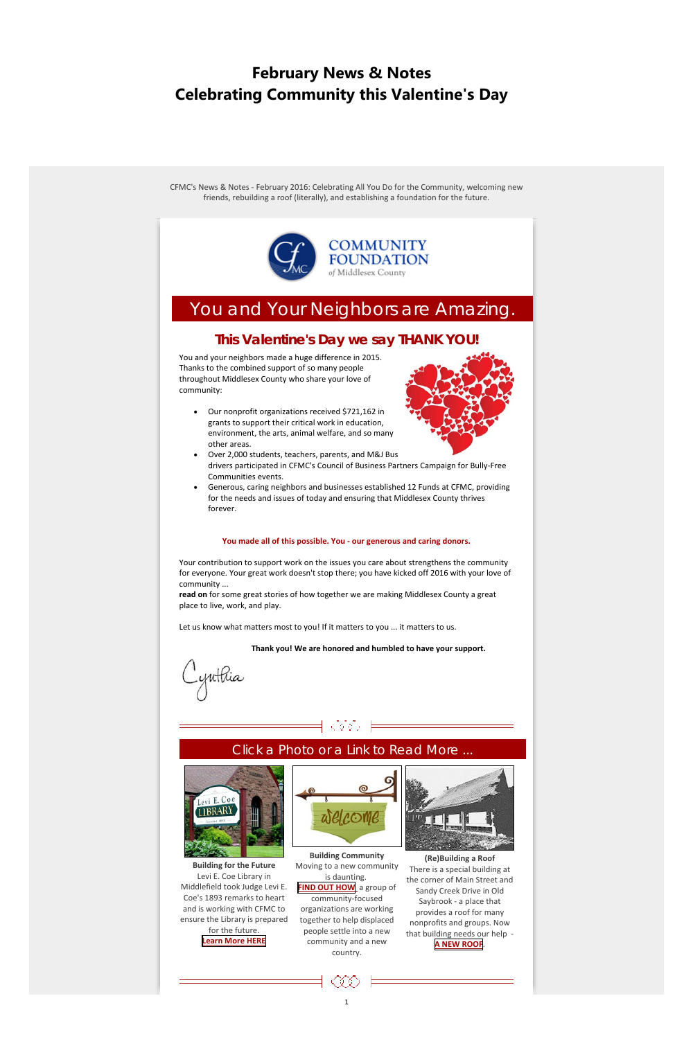1

# **February News & Notes Celebrating Community this Valentine's Day**

CFMC's News & Notes ‐ February 2016: Celebrating All You Do for the Community, welcoming new friends, rebuilding a roof (literally), and establishing a foundation for the future.



# You and Your Neighbors are Amazing.

## **This Valentine's Day we say THANK YOU!**

You and your neighbors made a huge difference in 2015. Thanks to the combined support of so many people throughout Middlesex County who share your love of community:

 Our nonprofit organizations received \$721,162 in grants to support their critical work in education, environment, the arts, animal welfare, and so many other areas.



- Over 2,000 students, teachers, parents, and M&J Bus drivers participated in CFMC's Council of Business Partners Campaign for Bully‐Free Communities events.
- Generous, caring neighbors and businesses established 12 Funds at CFMC, providing for the needs and issues of today and ensuring that Middlesex County thrives forever.

#### **You made all of this possible. You ‐ our generous and caring donors.**

Your contribution to support work on the issues you care about strengthens the community for everyone. Your great work doesn't stop there; you have kicked off 2016 with your love of community ...

**read on** for some great stories of how together we are making Middlesex County a great place to live, work, and play.

Let us know what matters most to you! If it matters to you ... it matters to us.

**Thank you! We are honored and humbled to have your support.**

yuttia

## Click a Photo or a Link to Read More ...

99



**Building for the Future** Levi E. Coe Library in Middlefield took Judge Levi E. Coe's 1893 remarks to heart and is working with CFMC to ensure the Library is prepared for the future. **[Learn](http://middlesexcountycf.org/ways-to-give/become-a-donor/fund-catalog/agency-funds/coe-library-fund/) More HERE**



**Building Community** Moving to a new community is daunting. **FIND OUT [HOW](http://middlesexcountycf.org/ways-to-give/become-a-donor/fund-catalog/field-of-interest/welcoming-middletown-fund/)** a group of community‐focused organizations are working together to help displaced people settle into a new community and a new country.



**(Re)Building a Roof** There is a special building at the corner of Main Street and Sandy Creek Drive in Old Saybrook ‐ a place that provides a roof for many nonprofits and groups. Now that building needs our help ‐ **A NEW [ROOF](http://middlesexcountycf.org/ways-to-give/become-a-donor/fund-catalog/project-fund/gec-special-outreach-fund/)**.